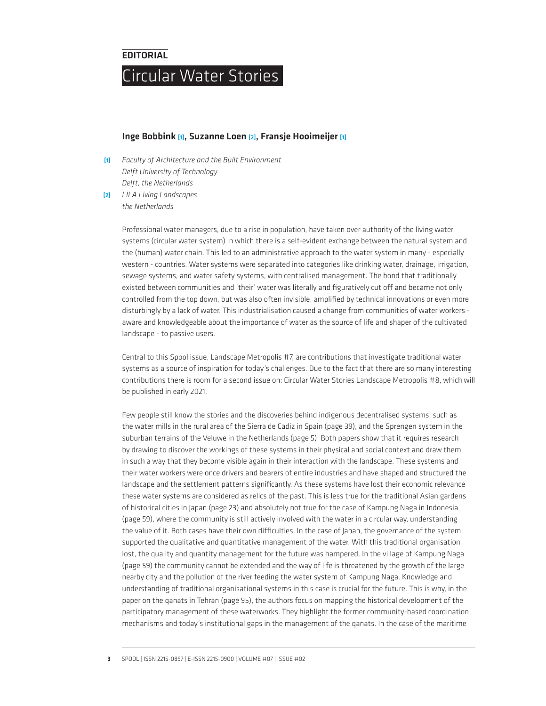## **EDITORIAL** Circular Water Stories

## Inge Bobbink [1], Suzanne Loen [2], Fransje Hooimeijer [1]

[1] *Faculty of Architecture and the Built Environment Delft University of Technology Delft, the Netherlands* [2] *LILA Living Landscapes*

*the Netherlands*

Professional water managers, due to a rise in population, have taken over authority of the living water systems (circular water system) in which there is a self-evident exchange between the natural system and the (human) water chain. This led to an administrative approach to the water system in many - especially western - countries. Water systems were separated into categories like drinking water, drainage, irrigation, sewage systems, and water safety systems, with centralised management. The bond that traditionally existed between communities and 'their' water was literally and figuratively cut off and became not only controlled from the top down, but was also often invisible, amplified by technical innovations or even more disturbingly by a lack of water. This industrialisation caused a change from communities of water workers aware and knowledgeable about the importance of water as the source of life and shaper of the cultivated landscape - to passive users.

Central to this Spool issue, Landscape Metropolis #7, are contributions that investigate traditional water systems as a source of inspiration for today's challenges. Due to the fact that there are so many interesting contributions there is room for a second issue on: Circular Water Stories Landscape Metropolis #8, which will be published in early 2021.

Few people still know the stories and the discoveries behind indigenous decentralised systems, such as the water mills in the rural area of the Sierra de Cadiz in Spain (page 39), and the Sprengen system in the suburban terrains of the Veluwe in the Netherlands (page 5). Both papers show that it requires research by drawing to discover the workings of these systems in their physical and social context and draw them in such a way that they become visible again in their interaction with the landscape. These systems and their water workers were once drivers and bearers of entire industries and have shaped and structured the landscape and the settlement patterns significantly. As these systems have lost their economic relevance these water systems are considered as relics of the past. This is less true for the traditional Asian gardens of historical cities in Japan (page 23) and absolutely not true for the case of Kampung Naga in Indonesia (page 59), where the community is still actively involved with the water in a circular way, understanding the value of it. Both cases have their own difficulties. In the case of Japan, the governance of the system supported the qualitative and quantitative management of the water. With this traditional organisation lost, the quality and quantity management for the future was hampered. In the village of Kampung Naga (page 59) the community cannot be extended and the way of life is threatened by the growth of the large nearby city and the pollution of the river feeding the water system of Kampung Naga. Knowledge and understanding of traditional organisational systems in this case is crucial for the future. This is why, in the paper on the qanats in Tehran (page 95), the authors focus on mapping the historical development of the participatory management of these waterworks. They highlight the former community-based coordination mechanisms and today's institutional gaps in the management of the qanats. In the case of the maritime